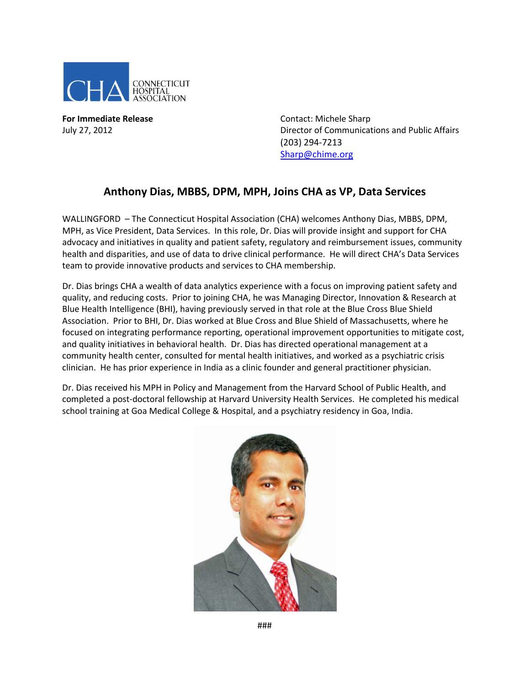

**For Immediate Release Contact: Michele Sharp** 

July 27, 2012 Director of Communications and Public Affairs (203) 294-7213 [Sharp@chime.org](mailto:Sharp@chime.org)

## **Anthony Dias, MBBS, DPM, MPH, Joins CHA as VP, Data Services**

WALLINGFORD – The Connecticut Hospital Association (CHA) welcomes Anthony Dias, MBBS, DPM, MPH, as Vice President, Data Services. In this role, Dr. Dias will provide insight and support for CHA advocacy and initiatives in quality and patient safety, regulatory and reimbursement issues, community health and disparities, and use of data to drive clinical performance. He will direct CHA's Data Services team to provide innovative products and services to CHA membership.

Dr. Dias brings CHA a wealth of data analytics experience with a focus on improving patient safety and quality, and reducing costs. Prior to joining CHA, he was Managing Director, Innovation & Research at Blue Health Intelligence (BHI), having previously served in that role at the Blue Cross Blue Shield Association. Prior to BHI, Dr. Dias worked at Blue Cross and Blue Shield of Massachusetts, where he focused on integrating performance reporting, operational improvement opportunities to mitigate cost, and quality initiatives in behavioral health. Dr. Dias has directed operational management at a community health center, consulted for mental health initiatives, and worked as a psychiatric crisis clinician. He has prior experience in India as a clinic founder and general practitioner physician.

Dr. Dias received his MPH in Policy and Management from the Harvard School of Public Health, and completed a post-doctoral fellowship at Harvard University Health Services. He completed his medical school training at Goa Medical College & Hospital, and a psychiatry residency in Goa, India.